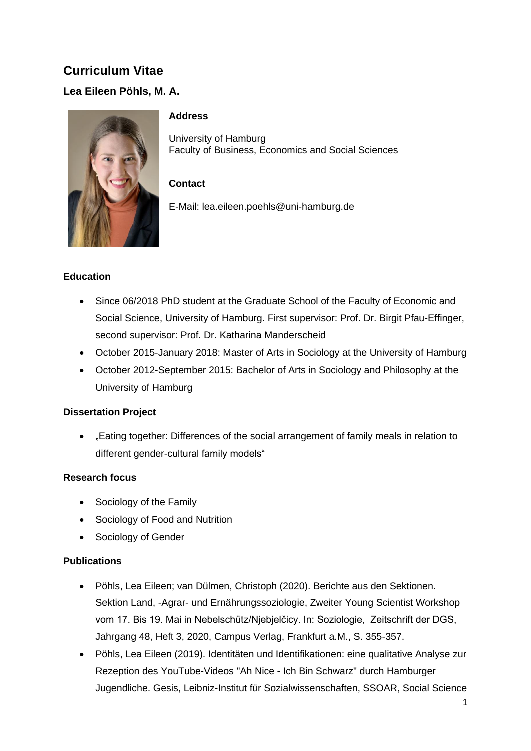# **Curriculum Vitae**

## **Lea Eileen Pöhls, M. A.**



#### **Address**

University of Hamburg Faculty of Business, Economics and Social Sciences

## **Contact**

E-Mail: lea.eileen.poehls@uni-hamburg.de

#### **Education**

- Since 06/2018 PhD student at the Graduate School of the Faculty of Economic and Social Science, University of Hamburg. First supervisor: Prof. Dr. Birgit Pfau-Effinger, second supervisor: Prof. Dr. Katharina Manderscheid
- October 2015-January 2018: Master of Arts in Sociology at the University of Hamburg
- October 2012-September 2015: Bachelor of Arts in Sociology and Philosophy at the University of Hamburg

#### **Dissertation Project**

• Leating together: Differences of the social arrangement of family meals in relation to different gender-cultural family models"

#### **Research focus**

- Sociology of the Family
- Sociology of Food and Nutrition
- Sociology of Gender

#### **Publications**

- Pöhls, Lea Eileen; van Dülmen, Christoph (2020). Berichte aus den Sektionen. Sektion Land, -Agrar- und Ernährungssoziologie, Zweiter Young Scientist Workshop vom 17. Bis 19. Mai in Nebelschütz/Njebjelčicy. In: Soziologie, Zeitschrift der DGS, Jahrgang 48, Heft 3, 2020, Campus Verlag, Frankfurt a.M., S. 355-357.
- Pöhls, Lea Eileen (2019). Identitäten und Identifikationen: eine qualitative Analyse zur Rezeption des YouTube-Videos "Ah Nice - Ich Bin Schwarz" durch Hamburger Jugendliche. Gesis, Leibniz-Institut für Sozialwissenschaften, SSOAR, Social Science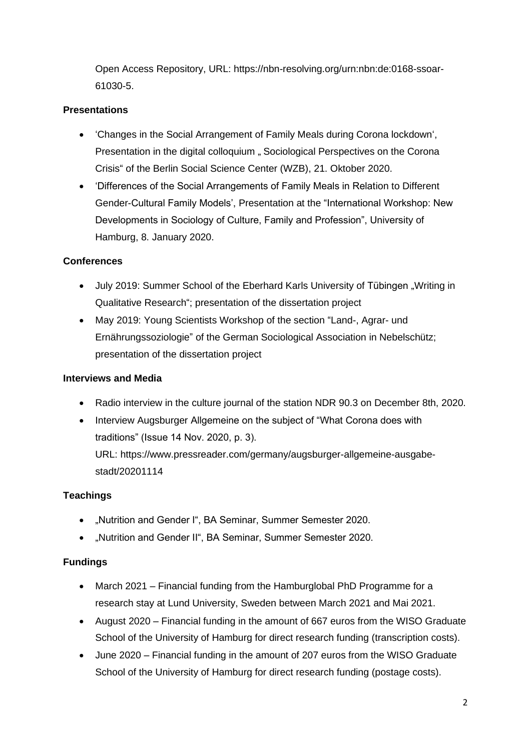Open Access Repository, URL: https://nbn-resolving.org/urn:nbn:de:0168-ssoar-61030-5.

## **Presentations**

- 'Changes in the Social Arrangement of Family Meals during Corona lockdown', Presentation in the digital colloquium . Sociological Perspectives on the Corona Crisis" of the Berlin Social Science Center (WZB), 21. Oktober 2020.
- 'Differences of the Social Arrangements of Family Meals in Relation to Different Gender-Cultural Family Models', Presentation at the "International Workshop: New Developments in Sociology of Culture, Family and Profession", University of Hamburg, 8. January 2020.

#### **Conferences**

- July 2019: Summer School of the Eberhard Karls University of Tübingen "Writing in Qualitative Research"; presentation of the dissertation project
- May 2019: Young Scientists Workshop of the section "Land-, Agrar- und Ernährungssoziologie" of the German Sociological Association in Nebelschütz; presentation of the dissertation project

#### **Interviews and Media**

- Radio interview in the culture journal of the station NDR 90.3 on December 8th, 2020.
- Interview Augsburger Allgemeine on the subject of "What Corona does with traditions" (Issue 14 Nov. 2020, p. 3). URL: https://www.pressreader.com/germany/augsburger-allgemeine-ausgabestadt/20201114

#### **Teachings**

- "Nutrition and Gender I", BA Seminar, Summer Semester 2020.
- "Nutrition and Gender II", BA Seminar, Summer Semester 2020.

#### **Fundings**

- March 2021 Financial funding from the Hamburglobal PhD Programme for a research stay at Lund University, Sweden between March 2021 and Mai 2021.
- August 2020 Financial funding in the amount of 667 euros from the WISO Graduate School of the University of Hamburg for direct research funding (transcription costs).
- June 2020 Financial funding in the amount of 207 euros from the WISO Graduate School of the University of Hamburg for direct research funding (postage costs).